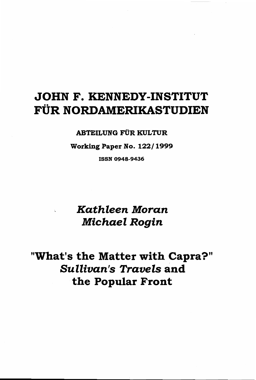# JOHN F. KENNEDY-INSTITUT FÜR NORDAMERIKASTUDIEN

### **ABTEILUNG FÜR KULTUR**

Working Paper No. 122/1999

**ISSN 0948-9436** 

## Kathleen Moran **Michael Rogin**

"What's the Matter with Capra?" **Sullivan's Travels and** the Popular Front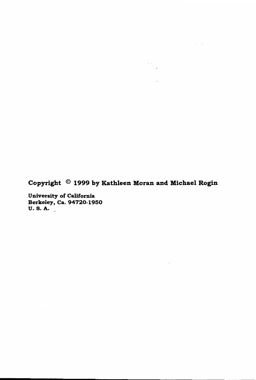Copyright © 1999 by Kathleen Moran and Michael Rogin

 $\sim 10^{-10}$ 

 $\sim$ 

 $\sim$   $\omega$ 

University of California Berkeley, Ca. 94720-1950 U.S.A.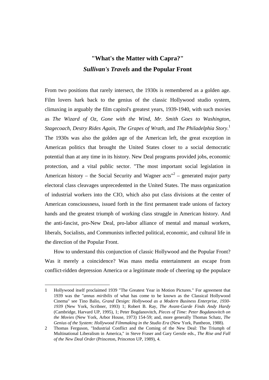## **"What's the Matter with Capra?"**  *Sullivan's Travels* **and the Popular Front**

From two positions that rarely intersect, the 1930s is remembered as a golden age. Film lovers hark back to the genius of the classic Hollywood studio system, climaxing in arguably the film capitol's greatest years, 1939-1940, with such movies as *The Wizard of Oz*, *Gone with the Wind*, *Mr. Smith Goes to Washington*, *Stagecoach*, *Destry Rides Again*, *The Grapes of Wrath*, and *The Philadelphia Story*. 1 The 1930s was also the golden age of the American left, the great exception in American politics that brought the United States closer to a social democratic potential than at any time in its history. New Deal programs provided jobs, economic protection, and a vital public sector. "The most important social legislation in American history – the Social Security and Wagner  $\arctan^{2}$  – generated major party electoral class cleavages unprecedented in the United States. The mass organization of industrial workers into the CIO, which also put class divisions at the center of American consciousness, issued forth in the first permanent trade unions of factory hands and the greatest triumph of working class struggle in American history. And the anti-fascist, pro-New Deal, pro-labor alliance of mental and manual workers, liberals, Socialists, and Communists inflected political, economic, and cultural life in the direction of the Popular Front.

How to understand this conjunction of classic Hollywood and the Popular Front? Was it merely a coincidence? Was mass media entertainment an escape from conflict-ridden depression America or a legitimate mode of cheering up the populace

<sup>1</sup> Hollywood itself proclaimed 1939 "The Greatest Year in Motion Pictures." For agreement that 1939 was the "*annus miribilis* of what has come to be known as the Classical Hollywood Cinema" see Tino Balio, *Grand Design: Hollywood as a Modern Business Enterprise, 1930- 1939* (New York, Scribner, 1993) 1; Robert B. Ray, *The Avant-Garde Finds Andy Hardy* (Cambridge, Harvard UP, 1995), 1; Peter Bogdanovitch, *Pieces of Time: Peter Bogdanovitch on the Movies* (New York, Arbor House, 1973) 154-59; and, more generally Thomas Schatz, *The Genius of the System: Hollywood Filmmaking in the Studio Era* (New York, Pantheon, 1988).

<sup>2</sup> Thomas Ferguson, "Industrial Conflict and the Coming of the New Deal: The Triumph of Multinational Liberalism in America," in Steve Fraser and Gary Gerstle eds., *The Rise and Fall of the New Deal Order* (Princeton, Princeton UP, 1989), 4.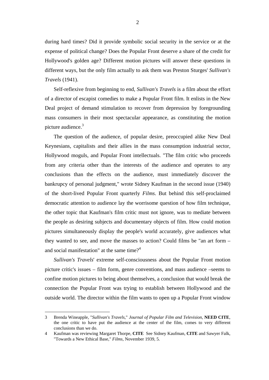during hard times? Did it provide symbolic social security in the service or at the expense of political change? Does the Popular Front deserve a share of the credit for Hollywood's golden age? Different motion pictures will answer these questions in different ways, but the only film actually to ask them was Preston Sturges' *Sullivan's Travels* (1941).

Self-reflexive from beginning to end, *Sullivan's Travels* is a film about the effort of a director of escapist comedies to make a Popular Front film. It enlists in the New Deal project of demand stimulation to recover from depression by foregrounding mass consumers in their most spectacular appearance, as constituting the motion picture audience. $3$ 

The question of the audience, of popular desire, preoccupied alike New Deal Keynesians, capitalists and their allies in the mass consumption industrial sector, Hollywood moguls, and Popular Front intellectuals. "The film critic who proceeds from any criteria other than the interests of the audience and operates to any conclusions than the effects on the audience, must immediately discover the bankrupcy of personal judgment," wrote Sidney Kaufman in the second issue (1940) of the short-lived Popular Front quarterly *Films*. But behind this self-proclaimed democratic attention to audience lay the worrisome question of how film technique, the other topic that Kaufman's film critic must not ignore, was to mediate between the people as desiring subjects and documentary objects of film. How could motion pictures simultaneously display the people's world accurately, give audiences what they wanted to see, and move the masses to action? Could films be "an art form – and social manifestation" at the same time?<sup>4</sup>

*Sullivan's Travels*' extreme self-consciousness about the Popular Front motion picture critic's issues – film form, genre conventions, and mass audience –seems to confine motion pictures to being about themselves, a conclusion that would break the connection the Popular Front was trying to establish between Hollywood and the outside world. The director within the film wants to open up a Popular Front window

<sup>3</sup> Brenda Wineapple, "*Sullivan's Travels*," *Journal of Popular Film and Television*, **NEED CITE**, the one critic to have put the audience at the center of the film, comes to very different conclusions than we do.

<sup>4</sup> Kaufman was reviewing Margaret Thorpe, **CITE** See Sidney Kaufman, **CITE** and Sawyer Falk, "Towards a New Ethical Base," *Films*, November 1939, 5.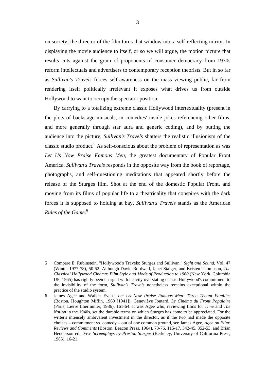on society; the director of the film turns that window into a self-reflecting mirror. In displaying the movie audience to itself, or so we will argue, the motion picture that results cuts against the grain of proponents of consumer democracy from 1930s reform intellectuals and advertisers to contemporary reception theorists. But in so far as *Sullivan's Travels* forces self-awareness on the mass viewing public, far from rendering itself politically irrelevant it exposes what drives us from outside Hollywood to want to occupy the spectator position.

By carrying to a totalizing extreme classic Hollywood intertextuality (present in the plots of backstage musicals, in comedies' inside jokes referencing other films, and more generally through star aura and generic coding), and by putting the audience into the picture, *Sullivan's Travels* shatters the realistic illusionism of the classic studio product.<sup>5</sup> As self-conscious about the problem of representation as was *Let Us Now Praise Famous Men*, the greatest documentary of Popular Front America, *Sullivan's Travels* responds in the opposite way from the book of reportage, photographs, and self-questioning meditations that appeared shortly before the release of the Sturges film. Shot at the end of the domestic Popular Front, and moving from its films of popular life to a theatricality that conspires with the dark forces it is supposed to holding at bay, *Sullivan's Travels* stands as the American *Rules of the Game*. 6

<sup>5</sup> Compare E. Rubinstein, "Hollywood's Travels: Sturges and Sullivan," *Sight and Sound*, Vol. 47 (Winter 1977-78), 50-52. Although David Bordwell, Janet Staiger, and Kristen Thompson, *The Classical Hollywood Cinema: Film Style and Mode of Production to 1960* (New York, Columbia UP, 1965) has rightly been charged with heavily overstating classic Hollywood's commitment to the invisibility of the form, *Sullivan's Travels* nonetheless remains exceptional within the practice of the studio system.

<sup>6</sup> James Agee and Walker Evans, *Let Us Now Praise Famous Men: Three Tenant Families* (Boston, Houghton Miflin, 1960 [1941]); Geneviève Joutard, *Le Cinéma du Front Populaire* (Paris, Lierre Lherminier, 1986), 161-64. It was Agee who, reviewing films for *Time* and *The Nation* in the 1940s, set the durable terms on which Sturges has come to be appreciated. For the writer's intensely ambivalent investment in the director, as if the two had made the opposite choices – commitment vs. comedy – out of one common ground, see James Agee, *Agee on Film: Reviews and Comments* (Boston, Beacon Press, 1964), 73-76, 115-17, 342-45, 352-53, and Brian Henderson ed., *Five Screenplays by Preston Sturges* (Berkeley, University of California Press, 1985), 16-21.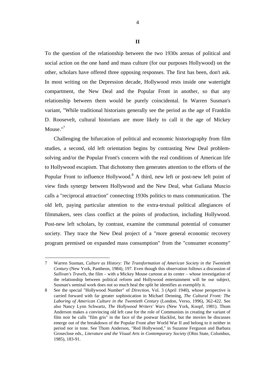To the question of the relationship between the two 1930s arenas of political and social action on the one hand and mass culture (for our purposes Hollywood) on the other, scholars have offered three opposing responses. The first has been, don't ask. In most writing on the Depression decade, Hollywood rests inside one watertight compartment, the New Deal and the Popular Front in another, so that any relationship between them would be purely coincidental. In Warren Susman's variant, "While traditional historians generally see the period as the age of Franklin D. Roosevelt, cultural historians are more likely to call it the age of Mickey Mouse."<sup>7</sup>

Challenging the bifurcation of political and economic historiography from film studies, a second, old left orientation begins by contrasting New Deal problemsolving and/or the Popular Front's concern with the real conditions of American life to Hollywood escapism. That dichotomy then generates attention to the efforts of the Popular Front to influence Hollywood.<sup>8</sup> A third, new left or post-new left point of view finds synergy between Hollywood and the New Deal, what Guliana Muscio calls a "reciprocal attraction" connecting 1930s politics to mass communication. The old left, paying particular attention to the extra-textual political allegiances of filmmakers, sees class conflict at the points of production, including Hollywood. Post-new left scholars, by contrast, examine the communal potential of consumer society. They trace the New Deal project of a "more general economic recovery program premised on expanded mass consumption" from the "consumer economy"

<sup>7</sup> Warren Susman, *Culture as History: The Transformation of American Society in the Twentieth Century* (New York, Pantheon, 1984), 197. Even though this observation follows a discussion of *Sullivan's Travels*, the film – with a Mickey Mouse cartoon at its center – whose investigation of the relationship between political reform and Hollywood entertainment will be our subject, Susman's seminal work does not so much heal the split he identifies as exemplify it.

<sup>8</sup> See the special "Hollywood Number" of *Direction*, Vol. 3 (April 1940), whose perspective is carried forward with far greater sophistication in Michael Denning, *The Cultural Front: The Laboring of American Culture in the Twentieth Century* (London, Verso, 1996), 362-422. See also Nancy Lynn Schwartz, *The Hollywood Writers' Wars* (New York, Knopf, 1981). Thom Anderson makes a convincing old left case for the role of Communists in creating the variant of film noir he calls "film gris" in the face of the postwar blacklist, but the movies he discusses emerge out of the breakdown of the Popular Front after World War II and belong to it neither in period nor in tone. See Thom Anderson, "Red Hollywood," in Suzanne Ferguson and Barbara Groseclose eds., *Literature and the Visual Arts in Contemporary Society* (Ohio State, Columbus, 1985), 183-91.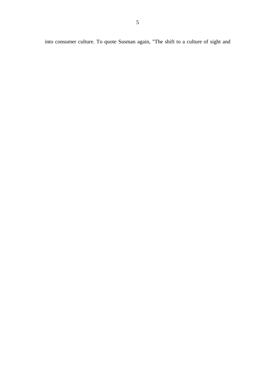into consumer culture. To quote Susman again, "The shift to a culture of sight and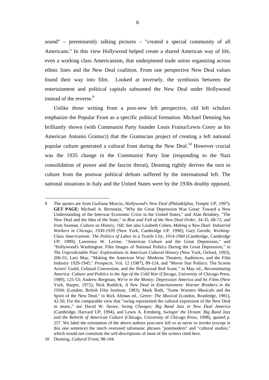sound" – preeminently talking pictures – "created a special community of all Americans." In this view Hollywood helped create a shared American way of life, even a working class Americanism, that underpinned trade union organizing across ethnic lines and the New Deal coalition. From one perspective New Deal values found their way into film. Looked at inversely, the symbiosis between the entertainment and political capitals subsumed the New Deal under Hollywood instead of the reverse.<sup>9</sup>

Unlike those writing from a post-new left perspective, old left scholars emphasize the Popular Front as a specific political formation. Michael Denning has brilliantly shown (with Communist Party founder Louis Fraina/Lewis Corey as his American Antonio Gramsci) that the Gramscian project of creating a left national popular culture generated a cultural front during the New Deal.<sup>10</sup> However crucial was the 1935 change in the Communist Party line (responding to the Nazi consolidation of power and the fascist threat), Denning rightly derives the turn to culture from the postwar political defeats suffered by the international left. The national situations in Italy and the United States were by the 1930s doubly opposed,

<sup>9</sup> The quotes are from Guiliana Muscio, *Hollywood's New Deal* (Philadelphia, Temple UP, 1997), **GET PAGE**; Michael A. Bernstein, "Why the Great Depression Was Great: Toward a New Understanding of the Interwar Economic Crisis in the United States," and Alan Brinkley, "The New Deal and the Idea of the State," in *Rise and Fall of the New Deal Order*, 34-35, 68-72, and from Susman, *Culture as History*, 160. See also Lizabeth Cohen, *Making a New Deal: Industrial Workers in Chicago, 1930-1939* (New York, Cambridge UP, 1990); Gary Gerstle, *Working-Class Americanism: The Politics of Labor in a Textile City, 1914-1960* (Cambridge, Cambridge UP, 1989); Lawrence W. Levine, "American Culture and the Great Depression," and "Hollywood's Washington: Film Images of National Politics During the Great Depression," in *The Unpredictable Past: Explorations in American Cultural History* (New York, Oxford, 1993), 206-55; Lary May, "Making the American Way: Moderne Theatres, Audiences, and the Film Industry 1929-1945," *Prospects*, Vol. 12 (1987), 89-124, and "Movie Star Politics: The Screen Actors' Guild, Cultural Conversion, and the Hollywood Red Scare," in May ed., *Reconstituting America: Culture and Politics in the Age of the Cold War* (Chicago, University of Chicago Press, 1989), 125-53; Andrew Bergman, *We're in the Money: Depression America and Its Films* (New York, Harper, 1972); Nick Roddick, *A New Deal in Entertainment: Warner Brothers in the 1930s* (London, British Film Institute, 1983); Mark Roth, "Some Warners Musicals and the Spirit of the New Deal," in Rick Altman ed., *Genre: The Musical* (London, Routledge, 1981), 42-56; For the comparable view that "swing represented the cultural expression of the New Deal in music," see David W. Stowe, *Swing Changes: Big Band Jazz in New Deal America* (Cambridge, Harvard UP, 1994), and Lewis A. Erenberg, *Swingin' the Dream: Big Band Jazz and the Rebirth of American Culture* (Chicago, University of Chicago Press, 1998), quoted p. 257. We label the orientation of the above authors post-new left so as never to invoke (except in this one sentence) the much overused talismanic phrases "postmodern" and "cultural studies," which would not constitute the self-descriptions of most of the writers cited here.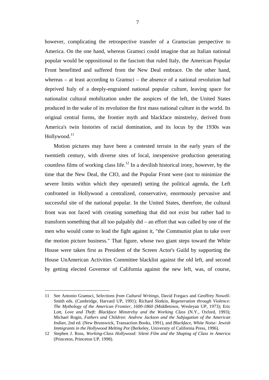however, complicating the retrospective transfer of a Gramscian perspective to America. On the one hand, whereas Gramsci could imagine that an Italian national popular would be oppositional to the fascism that ruled Italy, the American Popular Front benefitted and suffered from the New Deal embrace. On the other hand, whereas – at least according to Gramsci – the absence of a national revolution had deprived Italy of a deeply-engrained national popular culture, leaving space for nationalist cultural mobilization under the auspices of the left, the United States produced in the wake of its revolution the first mass national culture in the world. Its original central forms, the frontier myth and blackface minstrelsy, derived from America's twin histories of racial domination, and its locus by the 1930s was Hollywood.<sup>11</sup>

Motion pictures may have been a contested terrain in the early years of the twentieth century, with diverse sites of local, inexpensive production generating countless films of working class life.<sup>12</sup> In a devilish historical irony, however, by the time that the New Deal, the CIO, and the Popular Front were (not to minimize the severe limits within which they operated) setting the political agenda, the Left confronted in Hollywood a centralized, conservative, enormously pervasive and successful site of the national popular. In the United States, therefore, the cultural front was not faced with creating something that did not exist but rather had to transform something that all too palpably did – an effort that was called by one of the men who would come to lead the fight against it, "the Communist plan to take over the motion picture business." That figure, whose two giant steps toward the White House were taken first as President of the Screen Actor's Guild by supporting the House UnAmerican Activities Committee blacklist against the old left, and second by getting elected Governor of California against the new left, was, of course,

<sup>11</sup> See Antonio Gramsci, *Selections from Cultural Writings*, David Forgacs and Geoffrey Nowell-Smith eds. (Cambridge, Harvard UP, 1991); Richard Slotkin, *Regeneration through Violence: The Mythology of the American Frontier, 1600-1860* (Middletown, Wesleyan UP, 1973); Eric Lott, *Love and Theft: Blackface Minstrelsy and the Working Class* (N.Y., Oxford, 1993); Michael Rogin, *Fathers and Children: Andrew Jackson and the Subjugation of the American Indian*, 2nd ed. (New Brunswick, Transaction Books, 1991), and *Blackface, White Noise: Jewish Immigrants in the Hollywood Melting Pot* (Berkeley, University of California Press, 1996).

<sup>12</sup> Stephen J. Ross, *Working-Class Hollywood: Silent Film and the Shaping of Class in America* (Princeton, Princeton UP, 1998).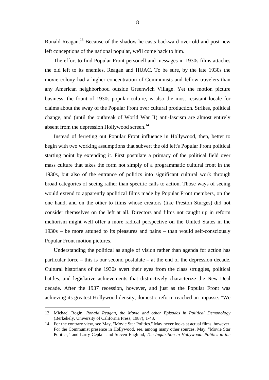Ronald Reagan.<sup>13</sup> Because of the shadow he casts backward over old and post-new left conceptions of the national popular, we'll come back to him.

The effort to find Popular Front personell and messages in 1930s films attaches the old left to its enemies, Reagan and HUAC. To be sure, by the late 1930s the movie colony had a higher concentration of Communists and fellow travelers than any American neighborhood outside Greenwich Village. Yet the motion picture business, the fount of 1930s popular culture, is also the most resistant locale for claims about the sway of the Popular Front over cultural production. Strikes, political change, and (until the outbreak of World War II) anti-fascism are almost entirely absent from the depression Hollywood screen.<sup>14</sup>

Instead of ferreting out Popular Front influence in Hollywood, then, better to begin with two working assumptions that subvert the old left's Popular Front political starting point by extending it. First postulate a primacy of the political field over mass culture that takes the form not simply of a programmatic cultural front in the 1930s, but also of the entrance of politics into significant cultural work through broad categories of seeing rather than specific calls to action. Those ways of seeing would extend to apparently apolitical films made by Popular Front members, on the one hand, and on the other to films whose creators (like Preston Sturges) did not consider themselves on the left at all. Directors and films not caught up in reform meliorism might well offer a more radical perspective on the United States in the 1930s – be more attuned to its pleasures and pains – than would self-consciously Popular Front motion pictures.

Understanding the political as angle of vision rather than agenda for action has particular force – this is our second postulate – at the end of the depression decade. Cultural historians of the 1930s avert their eyes from the class struggles, political battles, and legislative achievements that distinctively characterize the New Deal decade. After the 1937 recession, however, and just as the Popular Front was achieving its greatest Hollywood density, domestic reform reached an impasse. "We

<sup>13</sup> Michael Rogin, *Ronald Reagan, the Movie and other Episodes in Political Demonology* (Berkekely, University of California Press, 1987), 1-43.

<sup>14</sup> For the contrary view, see May, "Movie Star Politics." May never looks at actual films, however. For the Communist presence in Hollywood, see, among many other sources, May, "Movie Star Politics," and Larry Ceplair and Steven Englund, *The Inquisition in Hollywood: Politics in the*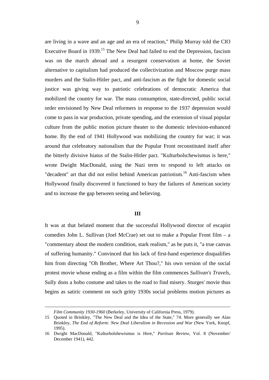are living in a wave and an age and an era of reaction," Philip Murray told the CIO Executive Board in 1939.<sup>15</sup> The New Deal had failed to end the Depression, fascism was on the march abroad and a resurgent conservatism at home, the Soviet alternative to capitalism had produced the collectivization and Moscow purge mass murders and the Stalin-Hitler pact, and anti-fascism as the fight for domestic social justice was giving way to patriotic celebrations of democratic America that mobilized the country for war. The mass consumption, state-directed, public social order envisioned by New Deal reformers in response to the 1937 depression would come to pass in war production, private spending, and the extension of visual popular culture from the public motion picture theater to the domestic television-enhanced home. By the end of 1941 Hollywood was mobilizing the country for war; it was around that celebratory nationalism that the Popular Front reconstituted itself after the bitterly divisive hiatus of the Stalin-Hitler pact. "Kulturbolschewismus is here," wrote Dwight MacDonald, using the Nazi term to respond to left attacks on "decadent" art that did not enlist behind American patriotism.<sup>16</sup> Anti-fascism when Hollywood finally discovered it functioned to bury the failures of American society and to increase the gap between seeing and believing.

#### **III**

It was at that belated moment that the successful Hollywood director of escapist comedies John L. Sullivan (Joel McCrae) set out to make a Popular Front film – a "commentary about the modern condition, stark realism," as he puts it, "a true canvas of suffering humanity." Convinced that his lack of first-hand experience disqualifies him from directing "Oh Brother, Where Art Thou?," his own version of the social protest movie whose ending as a film within the film commences *Sullivan's Travels*, Sully dons a hobo costume and takes to the road to find misery. Sturges' movie thus begins as satiric comment on such gritty 1930s social problems motion pictures as

l

*Film Community 1930-1960* (Berkeley, University of California Press, 1979).

<sup>15</sup> Quoted in Brinkley, "The New Deal and the Idea of the State," 74. More generally see Alan Brinkley, *The End of Reform: New Deal Liberalism in Recession and War* (New York, Knopf, 1995).

<sup>16</sup> Dwight MacDonald, "Kulturbolshewismus is Here," *Partisan Review*, Vol. 8 (November/ December 1941), 442.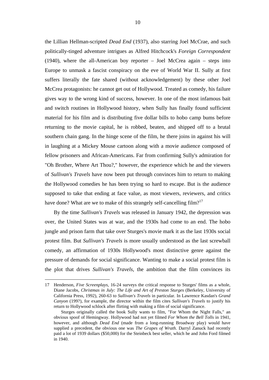the Lillian Hellman-scripted *Dead End* (1937), also starring Joel McCrae, and such politically-tinged adventure intrigues as Alfred Hitchcock's *Foreign Correspondent* (1940), where the all-American boy reporter – Joel McCrea again – steps into Europe to unmask a fascist conspiracy on the eve of World War II. Sully at first suffers literally the fate shared (without acknowledgement) by these other Joel McCrea protagonists: he cannot get out of Hollywood. Treated as comedy, his failure gives way to the wrong kind of success, however. In one of the most infamous bait and switch routines in Hollywood history, when Sully has finally found sufficient material for his film and is distributing five dollar bills to hobo camp bums before returning to the movie capital, he is robbed, beaten, and shipped off to a brutal southern chain gang. In the hinge scene of the film, he there joins in against his will in laughing at a Mickey Mouse cartoon along with a movie audience composed of fellow prisoners and African-Americans. Far from confirming Sully's admiration for "Oh Brother, Where Art Thou?," however, the experience which he and the viewers of *Sullivan's Travels* have now been put through convinces him to return to making the Hollywood comedies he has been trying so hard to escape. But is the audience supposed to take that ending at face value, as most viewers, reviewers, and critics have done? What are we to make of this strangely self-cancelling  $film?$ <sup>17</sup>

By the time *Sullivan's Travels* was released in January 1942, the depression was over, the United States was at war, and the 1930s had come to an end. The hobo jungle and prison farm that take over Sturges's movie mark it as the last 1930s social protest film. But *Sullivan's Travels* is more usually understood as the last screwball comedy, an affirmation of 1930s Hollywood's most distinctive genre against the pressure of demands for social significance. Wanting to make a social protest film is the plot that drives *Sullivan's Travels*, the ambition that the film convinces its

<sup>17</sup> Henderson, *Five Screenplays*, 16-24 surveys the critical response to Sturges' films as a whole, Diane Jacobs, *Christmas in July: The Life and Art of Preston Sturges* (Berkeley, University of California Press, 1992), 260-63 to *Sullivan's Travels* in particular. In Lawrence Kasdan's *Grand Canyon* (199?), for example, the director within the film cites *Sullivan's Travels* to justify his return to Hollywood schlock after flirting with making a film of social significance.

Sturges originally called the book Sully wants to film, "For Whom the Night Falls," an obvious spoof of Hemingway. Hollywood had not yet filmed *For Whom the Bell Tolls* in 1941, however, and although *Dead End* (made from a long-running Broadway play) would have supplied a precedent, the obvious one was *The Grapes of Wrath*. Darryl Zanuck had recently paid a lot of 1939 dollars (\$50,000) for the Steinbeck best seller, which he and John Ford filmed in 1940.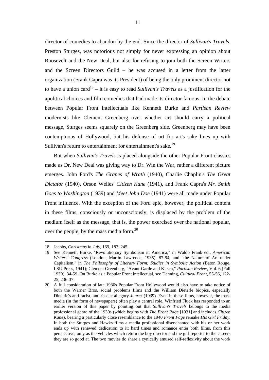director of comedies to abandon by the end. Since the director of *Sullivan's Travels*, Preston Sturges, was notorious not simply for never expressing an opinion about Roosevelt and the New Deal, but also for refusing to join both the Screen Writers and the Screen Directors Guild – he was accused in a letter from the latter organization (Frank Capra was its President) of being the only prominent director not to have a union card18 – it is easy to read *Sullivan's Travels* as a justification for the apolitical choices and film comedies that had made its director famous. In the debate between Popular Front intellectuals like Kenneth Burke and *Partisan Review* modernists like Clement Greenberg over whether art should carry a political message, Sturges seems squarely on the Greenberg side. Greenberg may have been contemptuous of Hollywood, but his defense of art for art's sake lines up with Sullivan's return to entertainment for entertainment's sake.<sup>19</sup>

But when *Sullivan's Travels* is placed alongside the other Popular Front classics made as Dr. New Deal was giving way to Dr. Win the War, rather a different picture emerges. John Ford's *The Grapes of Wrath* (1940), Charlie Chaplin's *The Great Dictator* (1940), Orson Welles' *Citizen Kane* (1941), and Frank Capra's *Mr. Smith Goes to Washington* (1939) and *Meet John Doe* (1941) were all made under Popular Front influence. With the exception of the Ford epic, however, the political content in these films, consciously or unconsciously, is displaced by the problem of the medium itself as the message, that is, the power exercised over the national popular, over the people, by the mass media form.<sup>20</sup>

<sup>18</sup> Jacobs, *Christmas in July*, 169, 183, 245.

<sup>19</sup> See Kenneth Burke, "Revolutionary Symbolism in America," in Waldo Frank ed., *American Writers' Congress* (London, Martin Lawrence, 1935), 87-94, and "the Nature of Art under Capitalism," in *The Philosophy of Literary Form: Studies in Symbolic Action* (Baton Rouge, LSU Press, 1941); Clement Greenberg, "Avant-Garde and Kitsch," *Partisan Review*, Vol. 6 (Fall 1939), 34-59. On Burke as a Popular Front intellectual, see Denning, *Cultural Front*, 55-56, 122- 25, 236-37.

<sup>20</sup> A full consideration of late 1930s Popular Front Hollywood would also have to take notice of both the Warner Bros. social problems films and the William Dieterle biopics, especially Dieterle's anti-racist, anti-fascist allegory *Juarez* (1939). Even in these films, however, the mass media (in the form of newspapers) often play a central role. Winfried Fluck has responded to an earlier version of this paper by pointing out that *Sullivan's Travels* belongs to the media professional genre of the 1930s (which begins with *The Front Page* [1931] and includes *Citizen Kane*), bearing a particularly close resemblance to the 1940 *Front Page* remake *His Girl Friday*. In both the Sturges and Hawks films a media professional disenchanted with his or her work ends up with renewed dedication to it; hard times and romance enter both films, from this perspective, only as the vehicles which return the boy director and the girl reporter to the careers they are so good at. The two movies do share a cynically amused self-reflexivity about the work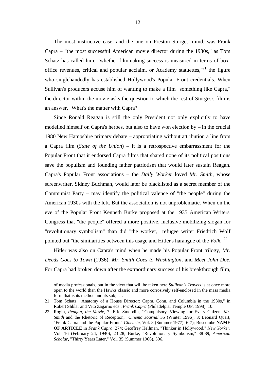The most instructive case, and the one on Preston Sturges' mind, was Frank Capra – "the most successful American movie director during the 1930s," as Tom Schatz has called him, "whether filmmaking success is measured in terms of boxoffice revenues, critical and popular acclaim, or Academy statuettes," $^{21}$  the figure who singlehandedly has established Hollywood's Popular Front credentials. When Sullivan's producers accuse him of wanting to make a film "something like Capra," the director within the movie asks the question to which the rest of Sturges's film is an answer, "What's the matter with Capra?"

Since Ronald Reagan is still the only President not only explicitly to have modelled himself on Capra's heroes, but also to have won election by – in the crucial 1980 New Hampshire primary debate – appropriating without attribution a line from a Capra film (*State of the Union*) – it is a retrospective embarrassment for the Popular Front that it endorsed Capra films that shared none of its political positions save the populism and founding father patriotism that would later sustain Reagan. Capra's Popular Front associations – the *Daily Worker* loved *Mr. Smith*, whose screenwriter, Sidney Buchman, would later be blacklisted as a secret member of the Communist Party – may identify the political valence of "the people" during the American 1930s with the left. But the association is not unproblematic. When on the eve of the Popular Front Kenneth Burke proposed at the 1935 American Writers' Congress that "the people" offered a more positive, inclusive mobilizing slogan for "revolutionary symbolism" than did "the worker," refugee writer Friedrich Wolf pointed out "the similarities between this usage and Hitler's harangue of the *Volk*."<sup>22</sup>

Hitler was also on Capra's mind when he made his Popular Front trilogy, *Mr. Deeds Goes to Town* (1936), *Mr. Smith Goes to Washington*, and *Meet John Doe*. For Capra had broken down after the extraordinary success of his breakthrough film,

l

of media professionals, but in the view that will be taken here *Sullivan's Travels* is at once more open to the world than the Hawks classic and more corrosively self-enclosed in the mass media form that is its method and its subject.

<sup>21</sup> Tom Schatz, "Anatomy of a House Director: Capra, Cohn, and Columbia in the 1930s," in Robert Shklar and Vito Zagarno eds., *Frank Capra* (Philadelpia, Temple UP, 1998), 10.

<sup>22</sup> Rogin, *Reagan, the Movie*, 7; Eric Smoodin, "'Compulsory' Viewing for Every Citizen: *Mr. Smith* and the Rhetoric of Reception," *Cinema Journal* 35 (Winter 1996), 3; Leonard Quart, "Frank Capra and the Popular Front," *Cineaste*, Vol. 8 (Summer 1977), 6-7); Buscombe **NAME OF ARTICLE** in *Frank Capra*, 274; Geoffrey Hellman, "Thinker in Hollywood," *New Yorker*, Vol. 16 (February 24, 1940), 23-28; Burke, "Revolutionary Symbolism," 88-89; *American Scholar*, "Thirty Years Later," Vol. 35 (Summer 1966), 506.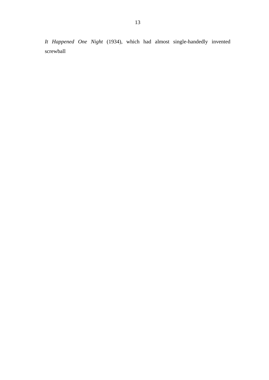*It Happened One Night* (1934), which had almost single-handedly invented screwball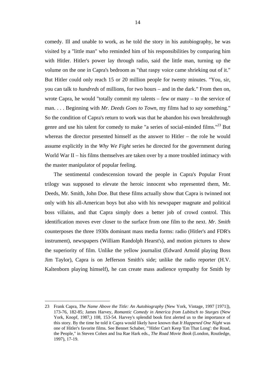comedy. Ill and unable to work, as he told the story in his autobiography, he was visited by a "little man" who reminded him of his responsibilities by comparing him with Hitler. Hitler's power lay through radio, said the little man, turning up the volume on the one in Capra's bedroom as "that raspy voice came shrieking out of it." But Hitler could only reach 15 or 20 million people for twenty minutes. "You, sir, you can talk to *hundreds* of millions, for two hours – and in the dark." From then on, wrote Capra, he would "totally commit my talents – few or many – to the service of man. . . . Beginning with *Mr. Deeds Goes to Town*, my films had to *say* something." So the condition of Capra's return to work was that he abandon his own breakthrough genre and use his talent for comedy to make "a series of social-minded films."<sup>23</sup> But whereas the director presented himself as the answer to Hitler – the role he would assume explicitly in the *Why We Fight* series he directed for the government during World War II – his films themselves are taken over by a more troubled intimacy with the master manipulator of popular feeling.

The sentimental condescension toward the people in Capra's Popular Front trilogy was supposed to elevate the heroic innocent who represented them, Mr. Deeds, Mr. Smith, John Doe. But these films actually show that Capra is twinned not only with his all-American boys but also with his newspaper magnate and political boss villains, and that Capra simply does a better job of crowd control. This identification moves ever closer to the surface from one film to the next. *Mr. Smith* counterposes the three 1930s dominant mass media forms: radio (Hitler's and FDR's instrument), newspapers (William Randolph Hearst's), and motion pictures to show the superiority of film. Unlike the yellow journalist (Edward Arnold playing Boss Jim Taylor), Capra is on Jefferson Smith's side; unlike the radio reporter (H.V. Kaltenborn playing himself), he can create mass audience sympathy for Smith by

<sup>23</sup> Frank Capra, *The Name Above the Title: An Autobiography* (New York, Vintage, 1997 [1971]), 173-76, 182-85; James Harvey, *Romantic Comedy in America from Lubitsch to Sturges* (New York, Knopf, 1987,) 108, 153-54. Harvey's splendid book first alerted us to the importance of this story. By the time he told it Capra would likely have known that *It Happened One Night* was one of Hitler's favorite films. See Bennet Schaber, "'Hitler Can't Keep 'Em That Long': the Road, the People," in Steven Cohen and Ina Rae Hark eds., *The Road Movie Book* (London, Routledge, 1997), 17-19.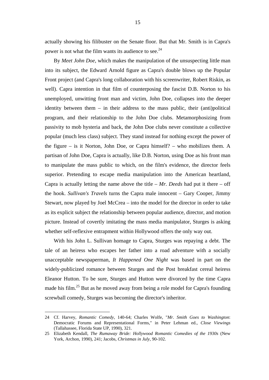actually showing his filibuster on the Senate floor. But that Mr. Smith is in Capra's power is not what the film wants its audience to see.<sup>24</sup>

By *Meet John Doe*, which makes the manipulation of the unsuspecting little man into its subject, the Edward Arnold figure as Capra's double blows up the Popular Front project (and Capra's long collaboration with his screenwriter, Robert Riskin, as well). Capra intention in that film of counterposing the fascist D.B. Norton to his unemployed, unwitting front man and victim, John Doe, collapses into the deeper identity between them – in their address to the mass public, their (anti)political program, and their relationship to the John Doe clubs. Metamorphosizing from passivity to mob hysteria and back, the John Doe clubs never constitute a collective popular (much less class) subject. They stand instead for nothing except the power of the figure – is it Norton, John Doe, or Capra himself? – who mobilizes them. A partisan of John Doe, Capra is actually, like D.B. Norton, using Doe as his front man to manipulate the mass public to which, on the film's evidence, the director feels superior. Pretending to escape media manipulation into the American heartland, Capra is actually letting the name above the title – *Mr. Deeds* had put it there – off the hook. *Sullivan's Travels* turns the Capra male innocent – Gary Cooper, Jimmy Stewart, now played by Joel McCrea – into the model for the director in order to take as its explicit subject the relationship between popular audience, director, and motion picture. Instead of covertly imitating the mass media manipulator, Sturges is asking whether self-reflexive entrapment within Hollywood offers the only way out.

With his John L. Sullivan homage to Capra, Sturges was repaying a debt. The tale of an heiress who escapes her father into a road adventure with a socially unacceptable newspaperman, *It Happened One Night* was based in part on the widely-publicized romance between Sturges and the Post breakfast cereal heiress Eleanor Hutton. To be sure, Sturges and Hutton were divorced by the time Capra made his film.<sup>25</sup> But as he moved away from being a role model for Capra's founding screwball comedy, Sturges was becoming the director's inheritor.

<sup>24</sup> Cf. Harvey, *Romantic Comedy*, 140-64; Charles Wolfe, "*Mr. Smith Goes to Washington*: Democratic Forums and Representational Forms," in Peter Lehman ed., *Close Viewings* (Tallahassee, Florida State UP, 1990), 321.

<sup>25</sup> Elizabeth Kendall, *The Rumaway Bride: Hollywood Romantic Comedies of the 1930s* (New York, Archon, 1990), 241; Jacobs, *Christmas in July*, 90-102.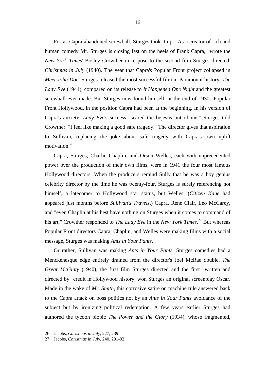For as Capra abandoned screwball, Sturges took it up. "As a creator of rich and human comedy Mr. Sturges is closing fast on the heels of Frank Capra," wrote the *New York Times*' Bosley Crowther in respose to the second film Sturges directed, *Christmas in July* (1940). The year that Capra's Popular Front project collapsed in *Meet John Doe*, Sturges released the most successful film in Paramount history, *The Lady Eve* (1941), compared on its release to *It Happened One Night* and the greatest screwball ever made. But Sturges now found himself, at the end of 1930s Popular Front Hollywood, in the position Capra had been at the beginning. In his version of Capra's anxiety, *Lady Eve*'s success "scared the bejesus out of me," Sturges told Crowther. "I feel like making a good safe tragedy." The director gives that aspiration to Sullivan, replacing the joke about safe tragedy with Capra's own uplift motivation.<sup>26</sup>

Capra, Sturges, Charlie Chaplin, and Orson Welles, each with unprecedented power over the production of their own films, were in 1941 the four most famous Hollywood directors. When the producers remind Sully that he was a boy genius celebrity director by the time he was twenty-four, Sturges is surely referencing not himself, a latecomer to Hollywood star status, but Welles. (*Citizen Kane* had appeared just months before *Sullivan's Travels*.) Capra, René Clair, Leo McCarey, and "even Chaplin at his best have nothing on Sturges when it comes to command of his art," Crowther responded to *The Lady Eve* in the *New York Times*. 27 But whereas Popular Front directors Capra, Chaplin, and Welles were making films with a social message, Sturges was making *Ants in Your Pants*.

Or rather, Sullivan was making *Ants in Your Pants*. Sturges comedies had a Menckenesque edge entirely drained from the director's Joel McRae double. *The Great McGinty* (1940), the first film Sturges directed and the first "written and directed by" credit in Hollywood history, won Sturges an original screenplay Oscar. Made in the wake of *Mr. Smith*, this corrosive satire on machine rule answered back to the Capra attack on boss politics not by an *Ants in Your Pants* avoidance of the subject but by ironizing political redemption. A few years earlier Sturges had authored the tycoon biopic *The Power and the Glory* (1934), whose fragmented,

<sup>26</sup> Jacobs, *Christmas in July*, 227, 239.

<sup>27</sup> Jacobs, *Christmas in July*, 240, 291-92.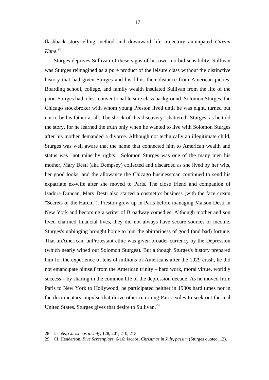flashback story-telling method and downward life trajectory anticipated *Citizen Kane*. 28

Sturges deprives Sullivan of these signs of his own morbid sensibility. Sullivan was Sturges reimagined as a pure product of the leisure class without the distinctive history that had given Sturges and his films their distance from American pieties. Boarding school, college, and family wealth insulated Sullivan from the life of the poor. Sturges had a less conventional leisure class background. Solomon Sturges, the Chicago stockbroker with whom young Preston lived until he was eight, turned out not to be his father at all. The shock of this discovery "shattered" Sturges, as he told the story, for he learned the truth only when he wanted to live with Solomon Sturges after his mother demanded a divorce. Although not technically an illegitimate child, Sturges was well aware that the name that connected him to American wealth and status was "not mine by rights." Solomon Sturges was one of the many men his mother, Mary Desti (aka Dempsey) collected and discarded as she lived by her wits, her good looks, and the allowance the Chicago businessman continued to send his expatriate ex-wife after she moved to Paris. The close friend and companion of Isadora Duncan, Mary Desti also started a cosmetics business (with the face cream "Secrets of the Harem"). Preston grew up in Paris before managing Maison Desti in New York and becoming a writer of Broadway comedies. Although mother and son lived charmed financial lives, they did not always have secure sources of income. Sturges's upbinging brought home to him the abitrariness of good (and bad) fortune. That unAmerican, unProtestant ethic was given broader currency by the Depression (which nearly wiped out Solomon Sturges). But although Sturges's history prepared him for the experience of tens of millions of Americans after the 1929 crash, he did not emancipate himself from the American trinity – hard work, moral virtue, worldly success – by sharing in the common life of the depression decade. As he moved from Paris to New York to Hollywood, he participated neither in 1930s hard times nor in the documentary impulse that drove other returning Paris exiles to seek out the real United States. Sturges gives that desire to Sullivan.<sup>29</sup>

<sup>28</sup> Jacobs, *Christmas in July*, 128, 201, 210, 213.

<sup>29</sup> Cf. Henderson, *Five Screenplays*, 6-16; Jacobs, *Christmas in July, passim* (Sturges quoted, 12).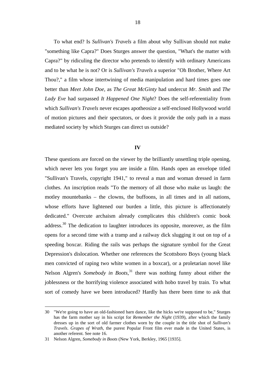To what end? Is *Sullivan's Travels* a film about why Sullivan should not make "something like Capra?" Does Sturges answer the question, "What's the matter with Capra?" by ridiculing the director who pretends to identify with ordinary Americans and to be what he is not? Or is *Sullivan's Travels* a superior "Oh Brother, Where Art Thou?," a film whose intertwining of media manipulation and hard times goes one better than *Meet John Doe*, as *The Great McGinty* had undercut *Mr. Smith* and *The Lady Eve* had surpassed *It Happened One Night*? Does the self-referentiality from which *Sullivan's Travels* never escapes apotheosize a self-enclosed Hollywood world of motion pictures and their spectators, or does it provide the only path in a mass mediated society by which Sturges can direct us outside?

#### **IV**

These questions are forced on the viewer by the brilliantly unsettling triple opening, which never lets you forget you are inside a film. Hands open an envelope titled "Sullivan's Travels, copyright 1941," to reveal a man and woman dressed in farm clothes. An inscription reads "To the memory of all those who make us laugh: the motley mountebanks – the clowns, the buffoons, in all times and in all nations, whose efforts have lightened our burden a little, this picture is affectionately dedicated." Overcute archaism already complicates this children's comic book address.30 The dedication to laughter introduces its opposite, moreover, as the film opens for a second time with a tramp and a railway dick slugging it out on top of a speeding boxcar. Riding the rails was perhaps the signature symbol for the Great Depression's dislocation. Whether one references the Scottsboro Boys (young black men convicted of raping two white women in a boxcar), or a proletarian novel like Nelson Algren's *Somebody in Boots*, 31 there was nothing funny about either the joblessness or the horrifying violence associated with hobo travel by train. To what sort of comedy have we been introduced? Hardly has there been time to ask that

<sup>30 &</sup>quot;We're going to have an old-fashioned barn dance, like the hicks we're supposed to be," Sturges has the farm mother say in his script for *Remember the Night* (1939), after which the family dresses up in the sort of old farmer clothes worn by the couple in the title shot of *Sullivan's Travels*. *Grapes of Wrath*, the purest Popular Front film ever made in the United States, is another referent. See note 16.

<sup>31</sup> Nelson Algren, *Somebody in Boots* (New York, Berkley, 1965 [1935].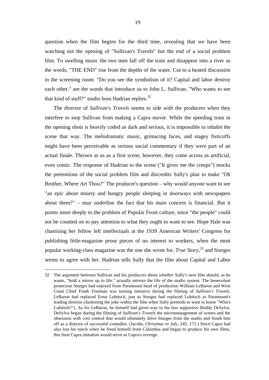question when the film begins for the third time, revealing that we have been watching not the opening of "Sullivan's Travels" but the end of a social problem film. To swelling music the two men fall off the train and disappear into a river as the words, "THE END" rise from the depths of the water. Cut to a heated discussion in the screening room. "Do you see the symbolism of it? Capital and labor destroy each other," are the words that introduce us to John L. Sullivan. "Who wants to see that kind of stuff?" studio boss Hadrian replies.<sup>32</sup>

The director of *Sullivan's Travels* seems to side with the producers when they interfere to stop Sullivan from making a Capra movie. While the speeding train in the opening shots is heavily coded as dark and serious, it is impossible to inhabit the scene that way. The melodramatic music, grimacing faces, and stagey fisticuffs might have been perceivable as serious social commentary if they were part of an actual finale. Thrown at us as a first scene, however, they come across as artificial, even comic. The response of Hadrian to the scene ("It gives me the creeps") mocks the pretentions of the social problem film and discredits Sully's plan to make "Oh Brother, Where Art Thou?" The producer's question – why would anyone want to see "an epic about misery and hungry people sleeping in doorways with newspapers about them?" – may underline the fact that his main concern is financial. But it points more deeply to the problem of Popular Front culture, since "the people" could not be counted on to pay attention to what they ought to want to see. Hope Hale was chastising her fellow left intellectuals at the 1939 American Writers' Congress for publishing little-magazine prose pieces of no interest to workers, when the most popular working-class magazine was the one she wrote for, *True Story*, 33 and Sturges seems to agree with her. Hadrian tells Sully that the film about Capital and Labor

<sup>32</sup> The argument between Sullivan and his producers about whether Sully's next film should, as he wants, "hold a mirror up to life," actually mirrors the life of the studio system. The benevolent protection Sturges had enjoyed from Paramount head of production William LeBaron and West Coast Chief Frank Freeman was turning intrusive during the filming of *Sullivan's Travels*. LeBaron had replaced Ernst Lubitsch, just as Sturges had replaced Lubitsch as Paramount's leading director (darkening the joke within the film when Sully pretends to want to know "Who's Lubitsch?"). As for LeBaron, he himself had given way to the less supportive Buddy DeSylva. DeSylva began during the filming of *Sullivan's Travels* the micromanagement of scenes and the obsession with cost control that would ultimately drive Sturges from the studio and finish him off as a director of successful comedies. (Jacobs, *Christmas in July*, 245, 171.) Since Capra had also lost his touch when he freed himself from Columbia and began to produce his own films, this final Capra imitation would serve as Capra's revenge.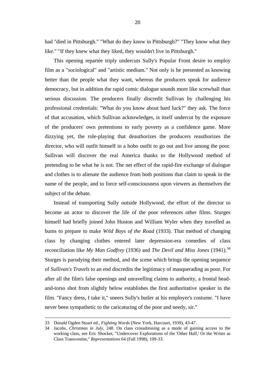had "died in Pittsburgh." "What do they know in Pittsburgh?" "They know what they like." "If they knew what they liked, they wouldn't live in Pittsburgh."

This opening repartée triply undercuts Sully's Popular Front desire to employ film as a "sociological" and "artistic medium." Not only is he presented as knowing better than the people what they want, whereas the producers speak for audience democracy, but in addition the rapid comic dialogue sounds more like screwball than serious discussion. The producers finally discredit Sullivan by challenging his professional credentials: "What do you know about hard luck?" they ask. The force of that accusation, which Sullivan acknowledges, is itself undercut by the exposure of the producers' own pretentions to early poverty as a confidence game. More dizzying yet, the role-playing that deauthorizes the producers reauthorizes the director, who will outfit himself in a hobo outfit to go out and live among the poor. Sullivan will discover the real America thanks to the Hollywood method of pretending to be what he is not. The net effect of the rapid-fire exchange of dialogue and clothes is to alienate the audience from both positions that claim to speak in the name of the people, and to force self-consciousness upon viewers as themselves the subject of the debate.

Instead of transporting Sully outside Hollywood, the effort of the director to become an actor to discover the life of the poor references other films. Sturges himself had briefly joined John Huston and William Wyler when they travelled as bums to prepare to make *Wild Boys of the Road* (1933). That method of changing class by changing clothes entered later depression-era comedies of class reconciliation like *My Man Godfrey* (1936) and *The Devil and Miss Jones* (1941).<sup>34</sup> Sturges is parodying their method, and the scene which brings the opening sequence of *Sullivan's Travels* to an end discredits the legitimacy of masquerading as poor. For after all the film's false openings and unravelling claims to authority, a frontal headand-torso shot from slightly below establishes the first authoritative speaker in the film. "Fancy dress, I take it," sneers Sully's butler at his employer's costume. "I have never been sympathetic to the caricaturing of the poor and needy, sir."

l

<sup>33</sup> Donald Ogden Stuart ed., *Fighting Words* (New York, Harcourt, 1939), 43-47.

<sup>34</sup> Jacobs, *Christmas in July*, 248. On class crossdressing as a mode of gaining access to the working class, see Eric Shocket, "Undercover Explorations of the 'Other Half,' Or the Writer as Class Transvestite," *Representations* 64 (Fall 1998), 109-33.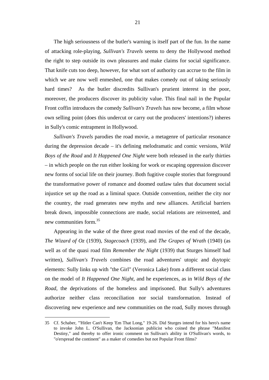The high seriousness of the butler's warning is itself part of the fun. In the name of attacking role-playing, *Sullivan's Travels* seems to deny the Hollywood method the right to step outside its own pleasures and make claims for social significance. That knife cuts too deep, however, for what sort of authority can accrue to the film in which we are now well enmeshed, one that makes comedy out of taking seriously hard times? As the butler discredits Sullivan's prurient interest in the poor, moreover, the producers discover its publicity value. This final nail in the Popular Front coffin introduces the comedy *Sullivan's Travels* has now become, a film whose own selling point (does this undercut or carry out the producers' intentions?) inheres in Sully's comic entrapment in Hollywood.

*Sullivan's Travels* parodies the road movie, a metagenre of particular resonance during the depression decade – it's defining melodramatic and comic versions, *Wild Boys of the Road* and *It Happened One Night* were both released in the early thirties – in which people on the run either looking for work or escaping oppression discover new forms of social life on their journey. Both fugitive couple stories that foreground the transformative power of romance and doomed outlaw tales that document social injustice set up the road as a liminal space. Outside convention, neither the city nor the country, the road generates new myths and new alliances. Artificial barriers break down, impossible connections are made, social relations are reinvented, and new communities form.<sup>35</sup>

Appearing in the wake of the three great road movies of the end of the decade, *The Wizard of Oz* (1939), *Stagecoach* (1939), and *The Grapes of Wrath* (1940) (as well as of the quasi road film *Remember the Night* (1939) that Sturges himself had written), *Sullivan's Travels* combines the road adventures' utopic and dsytopic elements: Sully links up with "the Girl" (Veronica Lake) from a different social class on the model of *It Happened One Night*, and he experiences, as in *Wild Boys of the Road*, the deprivations of the homeless and imprisoned. But Sully's adventures authorize neither class reconciliation nor social transformation. Instead of discovering new experience and new communities on the road, Sully moves through

<sup>35</sup> Cf. Schaber, "'Hitler Can't Keep 'Em That Long," 19-26. Did Sturges intend for his hero's name to invoke John L. O'Sullivan, the Jacksonian publicist who coined the phrase "Manifest Destiny," and thereby to offer ironic comment on Sullivan's ability in O'Sullivan's words, to "o'erspread the continent" as a maker of comedies but not Popular Front films?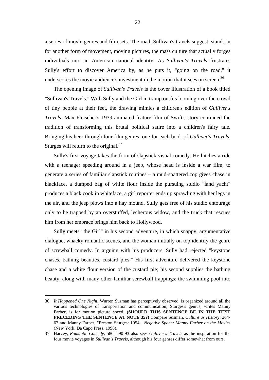a series of movie genres and film sets. The road, Sullivan's travels suggest, stands in for another form of movement, moving pictures, the mass culture that actually forges individuals into an American national identity. As *Sullivan's Travels* frustrates Sully's effort to discover America by, as he puts it, "going on the road," it underscores the movie audience's investment in the motion that it sees on screen.<sup>36</sup>

The opening image of *Sullivan's Travels* is the cover illustration of a book titled "Sullivan's Travels." With Sully and the Girl in tramp outfits looming over the crowd of tiny people at their feet, the drawing mimics a children's edition of *Gulliver's Travels*. Max Fleischer's 1939 animated feature film of Swift's story continued the tradition of transforming this brutal political satire into a children's fairy tale. Bringing his hero through four film genres, one for each book of *Gulliver's Travels*, Sturges will return to the original. $37$ 

Sully's first voyage takes the form of slapstick visual comedy. He hitches a ride with a teenager speeding around in a jeep, whose head is inside a war film, to generate a series of familiar slapstick routines – a mud-spattered cop gives chase in blackface, a dumped bag of white flour inside the pursuing studio "land yacht" produces a black cook in whiteface, a girl reporter ends up sprawling with her legs in the air, and the jeep plows into a hay mound. Sully gets free of his studio entourage only to be trapped by an overstuffed, lecherous widow, and the truck that rescues him from her embrace brings him back to Hollywood.

Sully meets "the Girl" in his second adventure, in which snappy, argumentative dialogue, whacky romantic scenes, and the woman initially on top identify the genre of screwball comedy. In arguing with his producers, Sully had rejected "keystone chases, bathing beauties, custard pies." His first adventure delivered the keystone chase and a white flour version of the custard pie; his second supplies the bathing beauty, along with many other familiar screwball trappings: the swimming pool into

<sup>36</sup> *It Happened One Night*, Warren Susman has perceptively observed, is organized around all the various technologies of transportation and communication; Sturges's genius, writes Manny Farber, is for motion picture speed. **(SHOULD THIS SENTENCE BE IN THE TEXT PRECEDING THE SENTENCE AT NOTE 35?)** Compare Susman, *Culture as History*, 264- 67 and Manny Farber, "Preston Sturges: 1954," *Negative Space: Manny Farber on the Movies* (New York, Da Capo Press, 1998).

<sup>37</sup> Harvey, *Romantic Comedy*, 580, 590-93 also sees *Gulliver's Travels* as the inspiration for the four movie voyages in *Sullivan's Travels*, although his four genres differ somewhat from ours.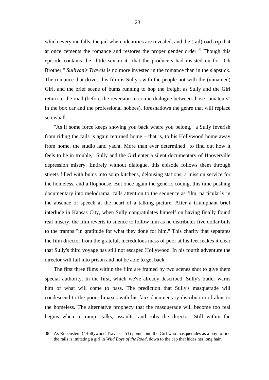which everyone falls, the jail where identities are revealed, and the (rail)road trip that at once cements the romance and restores the proper gender order.<sup>38</sup> Though this episode contains the "little sex in it" that the producers had insisted on for "Oh Brother," *Sullivan's Travels* is no more invested in the romance than in the slapstick. The romance that drives this film is Sully's with the people not with the (unnamed) Girl, and the brief scene of bums running to hop the freight as Sully and the Girl return to the road (before the reversion to comic dialogue between those "amateurs" in the box car and the professional hoboes), foreshadows the genre that will replace screwball.

"As if some force keeps shoving you back where you belong," a Sully feverish from riding the rails is again returned home – that is, to his Hollywood home away from home, the studio land yacht. More than ever determined "to find out how it feels to be in trouble," Sully and the Girl enter a silent documentary of Hooverville depression misery. Entirely without dialogue, this episode follows them through streets filled with bums into soup kitchens, delousing stations, a mission service for the homeless, and a flophouse. But once again the generic coding, this time pushing documentary into melodrama, calls attention to the sequence as film, particularly in the absence of speech at the heart of a talking picture. After a triumphant brief interlude in Kansas City, when Sully congratulates himself on having finally found real misery, the film reverts to silence to follow him as he distributes five dollar bills to the tramps "in gratitude for what they done for him." This charity that separates the film director from the grateful, incredulous mass of poor at his feet makes it clear that Sully's third voyage has still not escaped Hollywood. In his fourth adventure the director will fall into prison and not be able to get back.

The first three films within the film are framed by two scenes shot to give them special authority. In the first, which we've already described, Sully's butler warns him of what will come to pass. The prediction that Sully's masquerade will condescend to the poor climaxes with his faux documentary distribution of alms to the homeless. The alternative prophecy that the masquerade will become too real begins when a tramp stalks, assaults, and robs the director. Still within the

<sup>38</sup> As Rubenstein ("Hollywood Travels," 51) points out, the Girl who masquerades as a boy to ride the rails is imitating a girl in *Wild Boys of the Road*, down to the cap that hides her long hair.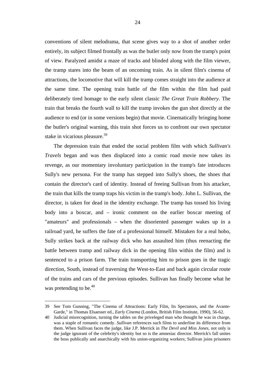conventions of silent melodrama, that scene gives way to a shot of another order entirely, its subject filmed frontally as was the butler only now from the tramp's point of view. Paralyzed amidst a maze of tracks and blinded along with the film viewer, the tramp stares into the beam of an oncoming train. As in silent film's cinema of attractions, the locomotive that will kill the tramp comes straight into the audience at the same time. The opening train battle of the film within the film had paid deliberately tired homage to the early silent classic *The Great Train Robbery*. The train that breaks the fourth wall to kill the tramp invokes the gun shot directly at the audience to end (or in some versions begin) that movie. Cinematically bringing home the butler's original warning, this train shot forces us to confront our own spectator stake in vicarious pleasure.<sup>39</sup>

The depression train that ended the social problem film with which *Sullivan's Travels* began and was then displaced into a comic road movie now takes its revenge, as our momentary involuntary participation in the tramp's fate introduces Sully's new persona. For the tramp has stepped into Sully's shoes, the shoes that contain the director's card of identity. Instead of freeing Sullivan from his attacker, the train that kills the tramp traps his victim in the tramp's body. John L. Sullivan, the director, is taken for dead in the identity exchange. The tramp has tossed his living body into a boxcar, and – ironic comment on the earlier boxcar meeting of "amateurs" and professionals – when the disoriented passenger wakes up in a railroad yard, he suffers the fate of a professional himself. Mistaken for a real hobo, Sully strikes back at the railway dick who has assaulted him (thus reenacting the battle between tramp and railway dick in the opening film within the film) and is sentenced to a prison farm. The train transporting him to prison goes in the tragic direction, South, instead of traversing the West-to-East and back again circular route of the trains and cars of the previous episodes. Sullivan has finally become what he was pretending to be. $40$ 

<sup>39</sup> See Tom Gunning, "The Cinema of Attractions: Early Film, Its Spectators, and the Avante-Garde," in Thomas Elsaesser ed., *Early Cinema* (London, British Film Institute, 1990), 56-62.

<sup>40</sup> Judicial misrecognition, turning the tables on the priveleged man who thought he was in charge, was a staple of romantic comedy. *Sullivan* references such films to underline its difference from them. When Sullivan faces the judge, like J.P. Merrick in *The Devil and Miss Jones*, not only is the judge ignorant of the celebrity's identity but so is the amnesiac director. Merrick's fall unites the boss publically and anarchically with his union-organizing workers; Sullivan joins prisoners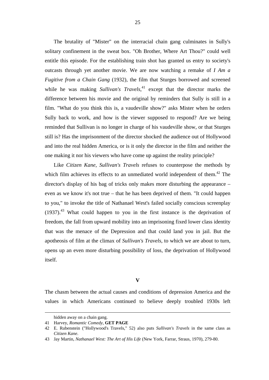The brutality of "Mister" on the interracial chain gang culminates in Sully's solitary confinement in the sweat box. "Oh Brother, Where Art Thou?" could well entitle this episode. For the establishing train shot has granted us entry to society's outcasts through yet another movie. We are now watching a remake of *I Am a Fugitive from a Chain Gang* (1932), the film that Sturges borrowed and screened while he was making *Sullivan's Travels*, 41 except that the director marks the difference between his movie and the original by reminders that Sully is still in a film. "What do you think this is, a vaudeville show?" asks Mister when he orders Sully back to work, and how is the viewer supposed to respond? Are we being reminded that Sullivan is no longer in charge of his vaudeville show, or that Sturges still is? Has the imprisonment of the director shocked the audience out of Hollywood and into the real hidden America, or is it only the director in the film and neither the one making it nor his viewers who have come up against the reality principle?

Like *Citizen Kane*, *Sullivan's Travels* refuses to counterpose the methods by which film achieves its effects to an unmediated world independent of them.<sup>42</sup> The director's display of his bag of tricks only makes more disturbing the appearance – even as we know it's not true – that he has been deprived of them. "It could happen to you," to invoke the title of Nathanael West's failed socially conscious screenplay  $(1937)$ <sup>43</sup> What could happen to you in the first instance is the deprivation of freedom, the fall from upward mobility into an imprisoning fixed lower class identity that was the menace of the Depression and that could land you in jail. But the apotheosis of film at the climax of *Sullivan's Travels*, to which we are about to turn, opens up an even more disturbing possibility of loss, the deprivation of Hollywood itself.

#### **V**

The chasm between the actual causes and conditions of depression America and the values in which Americans continued to believe deeply troubled 1930s left

l

hidden away on a chain gang.

<sup>41</sup> Harvey, *Romantic Comedy*, **GET PAGE**

<sup>42</sup> E. Rubenstein ("Hollywood's Travels," 52) also puts *Sullivan's Travels* in the same class as *Citizen Kane*.

<sup>43</sup> Jay Martin, *Nathanael West: The Art of His Life* (New York, Farrar, Straus, 1970), 279-80.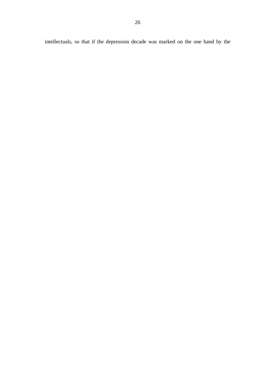intellectuals, so that if the depression decade was marked on the one hand by the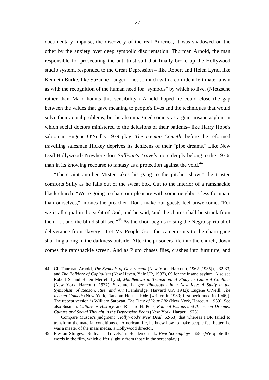documentary impulse, the discovery of the real America, it was shadowed on the other by the anxiety over deep symbolic disorientation. Thurman Arnold, the man responsible for prosecuting the anti-trust suit that finally broke up the Hollywood studio system, responded to the Great Depression – like Robert and Helen Lynd, like Kenneth Burke, like Suzanne Langer – not so much with a confident left materialism as with the recognition of the human need for "symbols" by which to live. (Nietzsche rather than Marx haunts this sensibility.) Arnold hoped he could close the gap between the values that gave meaning to people's lives and the techniques that would solve their actual problems, but he also imagined society as a giant insane asylum in which social doctors ministered to the delusions of their patients– like Harry Hope's saloon in Eugene O'Neill's 1939 play, *The Iceman Cometh*, before the reformed travelling salesman Hickey deprives its denizens of their "pipe dreams." Like New Deal Hollywood? Nowhere does *Sullivan's Travels* more deeply belong to the 1930s than in its knowing recourse to fantasy as a protection against the void.<sup>44</sup>

"There aint another Mister takes his gang to the pitcher show," the trustee comforts Sully as he falls out of the sweat box. Cut to the interior of a ramshackle black church. "We're going to share our pleasure with some neighbors less fortunate than ourselves," intones the preacher. Don't make our guests feel unwelcome, "For we is all equal in the sight of God, and he said, 'and the chains shall be struck from them  $\ldots$  and the blind shall see."<sup>45</sup> As the choir begins to sing the Negro spiritual of deliverance from slavery, "Let My People Go," the camera cuts to the chain gang shuffling along in the darkness outside. After the prisoners file into the church, down comes the ramshackle screen. And as Pluto chases flies, crashes into furniture, and

<sup>44</sup> Cf. Thurman Arnold, *The Symbols of Government* (New York, Harcourt, 1962 [1935]), 232-33, and *The Folklore of Capitalism* (New Haven, Yale UP, 1937), 69 for the insane asylum. Also see Robert S. and Helen Merrell Lynd, *Middletown in Transition: A Study in Cultural Conflicts* (New York, Harcourt, 1937); Suzanne Langer, *Philosophy in a New Key: A Study in the Symbolism of Reason, Rite, and Art* (Cambridge, Harvard UP, 1942); Eugene O'Neill, *The Iceman Cometh* (New York, Random House, 1946 [written in 1939; first performed in 1946]). The upbeat version is William Saroyan, *The Time of Your Life* (New York, Harcourt, 1939). See also Susman, *Culture as History*, and Richard H. Pells, *Radical Visions and American Dreams: Culture and Social Thought in the Depression Years* (New York, Harper, 1973).

Compare Muscio's judgment (*Hollywood's New Deal*, 62-63) that whereas FDR failed to transform the material conditions of American life, he knew how to make people feel better; he was a master of the mass media, a Hollywood director.

<sup>45</sup> Preston Sturges, "Sullivan's Travels,"in Henderson ed., *Five Screenplays*, 668. (We quote the words in the film, which differ slightly from those in the screenplay.)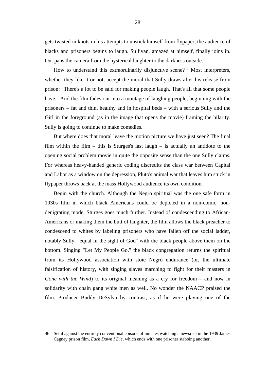gets twisted in knots in his attempts to unstick himself from flypaper, the audience of blacks and prisoners begins to laugh. Sullivan, amazed at himself, finally joins in. Out pans the camera from the hysterical laughter to the darkness outside.

How to understand this extraordinarily disjunctive scene?<sup>46</sup> Most interpreters, whether they like it or not, accept the moral that Sully draws after his release from prison: "There's a lot to be said for making people laugh. That's all that some people have." And the film fades out into a montage of laughing people, beginning with the prisoners – fat and thin, healthy and in hospital beds – with a serious Sully and the Girl in the foreground (as in the image that opens the movie) framing the hilarity. Sully is going to continue to make comedies.

But where does that moral leave the motion picture we have just seen? The final film within the film – this is Sturges's last laugh – is actually an antidote to the opening social problem movie in quite the opposite sense than the one Sully claims. For whereas heavy-handed generic coding discredits the class war between Capital and Labor as a window on the depression, Pluto's animal war that leaves him stuck in flypaper throws back at the mass Hollywood audience its own condition.

Begin with the church. Although the Negro spiritual was the one safe form in 1930s film in which black Americans could be depicted in a non-comic, nondenigrating mode, Sturges goes much further. Instead of condescending to African-Americans or making them the butt of laughter, the film allows the black preacher to condescend to whites by labeling prisoners who have fallen off the social ladder, notably Sully, "equal in the sight of God" with the black people above them on the bottom. Singing "Let My People Go," the black congregation returns the spiritual from its Hollywood association with stoic Negro endurance (or, the ultimate falsification of history, with singing slaves marching to fight for their masters in *Gone with the Wind*) to its original meaning as a cry for freedom – and now in solidarity with chain gang white men as well. No wonder the NAACP praised the film. Producer Buddy DeSylva by contrast, as if he were playing one of the

<sup>46</sup> Set it against the entirely conventional episode of inmates watching a newsreel in the 1939 James Cagney prison film, *Each Dawn I Die*, which ends with one prisoner stabbing another.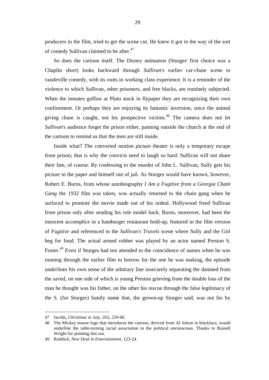producers in the film, tried to get the scene cut. He knew it got in the way of the sort of comedy Sullivan claimed to be after.<sup>47</sup>

So does the cartoon itself. The Disney animation (Sturges' first choice was a Chaplin short) looks backward through *Sullivan*'s earlier car-chase scene to vaudeville comedy, with its roots in working class experience. It is a reminder of the violence to which Sullivan, other prisoners, and free blacks, are routinely subjected. When the inmates guffaw at Pluto stuck in flypaper they are recognizing their own confinement. Or perhaps they are enjoying its fantastic inversion, since the animal giving chase is caught, not his prospective victims.<sup>48</sup> The camera does not let *Sullivan*'s audience forget the prison either, panning outside the church at the end of the cartoon to remind us that the men are still inside.

Inside what? The converted motion picture theater is only a temporary escape from prison; that is why the convicts need to laugh so hard. Sullivan will not share their fate, of course. By confessing to the murder of John L. Sullivan, Sully gets his picture in the paper and himself out of jail. As Sturges would have known, however, Robert E. Burns, from whose autobiography *I Am a Fugitive from a Georgia Chain Gang* the 1932 film was taken, was actually returned to the chain gang when he surfaced to promote the movie made out of his ordeal. Hollywood freed Sullivan from prison only after sending his role model back. Burns, moreover, had been the innocent accomplice in a hamburger restaurant hold-up, featured in the film version of *Fugitive* and referenced in the *Sullivan's Travels* scene where Sully and the Girl beg for food. The actual armed robber was played by an actor named Preston S. Foster.<sup>49</sup> Even if Sturges had not attended to the coincidence of names when he was running through the earlier film to borrow for the one he was making, the episode underlines his own sense of the arbitrary line insecurely separating the damned from the saved, on one side of which is young Preston grieving from the double loss of the man he thought was his father, on the other his rescue through the false legitimacy of the S. (for Sturges) family name that, the grown-up Sturges said, was not his by

<sup>47</sup> Jacobs, *Christmas in July*, 263, 259-60.

<sup>48</sup> The Mickey mouse logo that introduces the cartoon, derived from Al Jolson in blackface, would underline the table-turning racial association in the political unconscious. Thanks to Russell Wright for pointing this out.

<sup>49</sup> Roddick, *New Deal in Entertainment*, 123-24.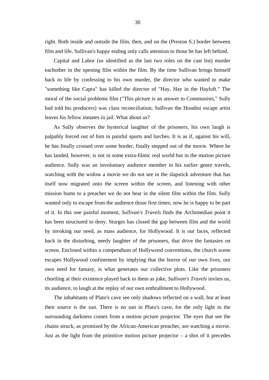right. Both inside and outside the film, then, and on the (Preston S.) border between film and life, Sullivan's happy ending only calls attention to those he has left behind.

Capital and Labor (so identified as the last two roles on the cast list) murder eachother in the opening film within the film. By the time Sullivan brings himself back to life by confessing to his own murder, the director who wanted to make "something like Capra" has killed the director of "Hay, Hay in the Hayloft." The moral of the social problems film ("This picture is an answer to Communists," Sully had told his producers) was class reconciliation; Sullivan the Houdini escape artist leaves his fellow inmates in jail. What about us?

As Sully observes the hysterical laughter of the prisoners, his own laugh is palpably forced out of him in painful spurts and lurches. It is as if, against his will, he has finally crossed over some border, finally stepped out of the movie. Where he has landed, however, is not in some extra-filmic real world but in the motion picture audience. Sully was an involuntary audience member in his earlier genre travels, watching with the widow a movie we do not see in the slapstick adventure that has itself now migrated onto the screen within the screen, and listening with other mission bums to a preacher we do not hear in the silent film within the film. Sully wanted only to escape from the audience those first times; now he is happy to be part of it. In this one painful moment, *Sullivan's Travels* finds the Archimedian point it has been structured to deny. Sturges has closed the gap between film and the world by invoking our need, as mass audience, for Hollywood. It is our faces, reflected back in the disturbing, needy laughter of the prisoners, that drive the fantasies on screen. Enclosed within a compendium of Hollywood conventions, the church scene escapes Hollywood confinement by implying that the horror of our own lives, our own need for fantasy, is what generates our collective plots. Like the prisoners chortling at their existence played back to them as joke, *Sullivan's Travels* invites us, its audience, to laugh at the replay of our own enthrallment to Hollywood.

The inhabitants of Plato's cave see only shadows reflected on a wall, but at least their source is the sun. There is no sun in Pluto's cave, for the only light in the surrounding darkness comes from a motion picture projector. The eyes that see the chains struck, as promised by the African-American preacher, are watching a movie. Just as the light from the primitive motion picture projector  $-$  a shot of it precedes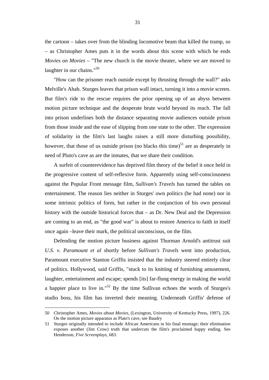the cartoon – takes over from the blinding locomotive beam that killed the tramp, so – as Christopher Ames puts it in the words about this scene with which he ends *Movies on Movies* – "The new church is the movie theater, where we are moved to laughter in our chains."<sup>50</sup>

"How can the prisoner reach outside except by thrusting through the wall?" asks Melville's Ahab. Sturges leaves that prison wall intact, turning it into a movie screen. But film's ride to the rescue requires the prior opening up of an abyss between motion picture technique and the desperate brute world beyond its reach. The fall into prison underlines both the distance separating movie audiences outside prison from those inside and the ease of slipping from one state to the other. The expression of solidarity in the film's last laughs raises a still more disturbing possibility, however, that those of us outside prison (no blacks this time)<sup>51</sup> are as desperately in need of Pluto's cave as are the inmates, that we share their condition.

A surfeit of counterevidence has deprived film theory of the belief it once held in the progressive content of self-reflexive form. Apparently using self-consciousness against the Popular Front message film, *Sullivan's Travels* has turned the tables on entertainment. The reason lies neither in Sturges' own politics (he had none) nor in some intrinsic politics of form, but rather in the conjunction of his own personal history with the outside historical forces that – as Dr. New Deal and the Depression are coming to an end, as "the good war" is about to restore America to faith in itself once again –leave their mark, the political unconscious, on the film.

Defending the motion picture business against Thurman Arnold's antitrust suit *U.S. v. Paramount et al* shortly before *Sullivan's Travels* went into production, Paramount executive Stanton Griffis insisted that the industry steered entirely clear of politics. Hollywood, said Griffis, "stuck to its knitting of furnishing amusement, laughter, entertainment and escape; spends [its] far-flung energy in making the world a happier place to live in."52 By the time Sullivan echoes the words of Sturges's studio boss, his film has inverted their meaning. Underneath Griffis' defense of

<sup>50</sup> Christopher Ames, *Movies about Movies*, (Lexington, University of Kentucky Press, 1997), 226. On the motion picture apparatus as Plato's cave, see Baudry

<sup>51</sup> Sturges originally intended to include African Americans in his final montage; their elimination exposes another (Jim Crow) truth that undercuts the film's proclaimed happy ending. See Henderson, *Five Screenplays*, 683.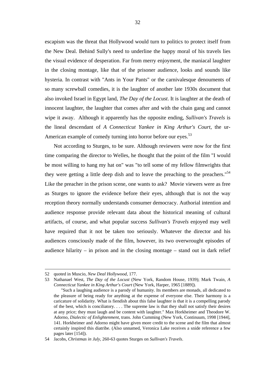escapism was the threat that Hollywood would turn to politics to protect itself from the New Deal. Behind Sully's need to underline the happy moral of his travels lies the visual evidence of desperation. Far from merry enjoyment, the maniacal laughter in the closing montage, like that of the prisoner audience, looks and sounds like hysteria. In contrast with "Ants in Your Pants" or the carnivalesque denouments of so many screwball comedies, it is the laughter of another late 1930s document that also invoked Israel in Egypt land, *The Day of the Locust*. It is laughter at the death of innocent laughter, the laughter that comes after and with the chain gang and cannot wipe it away. Although it apparently has the opposite ending, *Sullivan's Travels* is the lineal descendant of *A Connecticut Yankee in King Arthur's Court*, the ur-American example of comedy turning into horror before our eyes.<sup>53</sup>

Not according to Sturges, to be sure. Although reviewers were now for the first time comparing the director to Welles, he thought that the point of the film "I would be most willing to hang my hat on" was "to tell some of my fellow filmwrights that they were getting a little deep dish and to leave the preaching to the preachers."<sup>54</sup> Like the preacher in the prison scene, one wants to ask? Movie viewers were as free as Sturges to ignore the evidence before their eyes, although that is not the way reception theory normally understands consumer democracy. Authorial intention and audience response provide relevant data about the historical meaning of cultural artifacts, of course, and what popular success *Sullivan's Travels* enjoyed may well have required that it not be taken too seriously. Whatever the director and his audiences consciously made of the film, however, its two overwrought episodes of audience hilarity – in prison and in the closing montage – stand out in dark relief

l

<sup>52</sup> quoted in Muscio, *New Deal Hollywood*, 177.

<sup>53</sup> Nathanael West, *The Day of the Locust* (New York, Random House, 1939); Mark Twain, *A Connecticut Yankee in King Arthur's Court* (New York, Harper, 1965 [1889]).

 <sup>&</sup>quot;Such a laughing audience is a parody of humanity. Its members are monads, all dedicated to the pleasure of being ready for anything at the expense of everyone else. Their harmony is a caricature of solidarity. What is fiendish about this false laughter is that it is a compelling parody of the best, which is conciliatory. . . . The supreme law is that they shall not satisfy their desires at any price; they must laugh and be content with laughter." Max Horkheimer and Theodore W. Adorno, *Dialectic of Enlightenment*, trans. John Cumming (New York, Continuum, 1998 [1944], 141. Horkheimer and Adorno might have given more credit to the scene and the film that almost certainly inspired this diatribe. (Also unnamed, Veronica Lake receives a snide reference a few pages later [154]).

<sup>54</sup> Jacobs, *Christmas in July*, 260-63 quotes Sturges on *Sullivan's Travels*.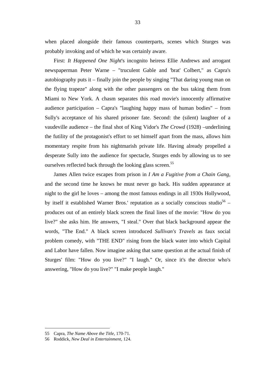when placed alongside their famous counterparts, scenes which Sturges was probably invoking and of which he was certainly aware.

First: *It Happened One Night*'s incognito heiress Ellie Andrews and arrogant newspaperman Peter Warne – "truculent Gable and 'brat' Colbert," as Capra's autobiography puts it – finally join the people by singing "That daring young man on the flying trapeze" along with the other passengers on the bus taking them from Miami to New York. A chasm separates this road movie's innocently affirmative audience participation – Capra's "laughing happy mass of human bodies" – from Sully's acceptance of his shared prisoner fate. Second: the (silent) laughter of a vaudeville audience – the final shot of King Vidor's *The Crowd* (1928) –underlining the futility of the protagonist's effort to set himself apart from the mass, allows him momentary respite from his nightmarish private life. Having already propelled a desperate Sully into the audience for spectacle, Sturges ends by allowing us to see ourselves reflected back through the looking glass screen.<sup>55</sup>

James Allen twice escapes from prison in *I Am a Fugitive from a Chain Gang*, and the second time he knows he must never go back. His sudden appearance at night to the girl he loves – among the most famous endings in all 1930s Hollywood, by itself it established Warner Bros.' reputation as a socially conscious studio<sup>56</sup> – produces out of an entirely black screen the final lines of the movie: "How do you live?" she asks him. He answers, "I steal." Over that black background appear the words, "The End." A black screen introduced *Sullivan's Travels* as faux social problem comedy, with "THE END" rising from the black water into which Capital and Labor have fallen. Now imagine asking that same question at the actual finish of Sturges' film: "How do you live?" "I laugh." Or, since it's the director who's answering, "How do you live?" "I make people laugh."

<sup>55</sup> Capra, *The Name Above the Title*, 170-71.

<sup>56</sup> Roddick, *New Deal in Entertainment*, 124.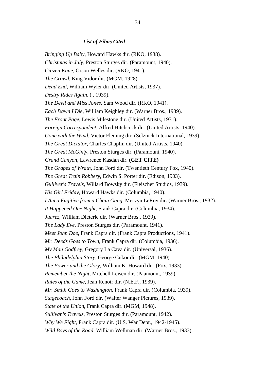#### *List of Films Cited*

*Bringing Up Baby*, Howard Hawks dir. (RKO, 1938). *Christmas in July*, Preston Sturges dir. (Paramount, 1940). *Citizen Kane*, Orson Welles dir. (RKO, 1941). *The Crowd*, King Vidor dir. (MGM, 1928). *Dead End*, William Wyler dir. (United Artists, 1937). *Destry Rides Again*, ( , 1939). *The Devil and Miss Jones*, Sam Wood dir. (RKO, 1941). *Each Dawn I Die*, William Keighley dir. (Warner Bros., 1939). *The Front Page*, Lewis Milestone dir. (United Artists, 1931). *Foreign Correspondent*, Alfred Hitchcock dir. (United Artists, 1940). *Gone with the Wind*, Victor Fleming dir. (Selznick International, 1939). *The Great Dictator*, Charles Chaplin dir. (United Artists, 1940). *The Great McGinty*, Preston Sturges dir. (Paramount, 1940). *Grand Canyon*, Lawrence Kasdan dir. **(GET CITE)** *The Grapes of Wrath*, John Ford dir. (Twentieth Century Fox, 1940). *The Great Train Robbery*, Edwin S. Porter dir. (Edison, 1903). *Gulliver's Travels*, Willard Bowsky dir. (Fleischer Studios, 1939). *His Girl Friday*, Howard Hawks dir. (Columbia, 1940). *I Am a Fugitive from a Chain Gang*, Mervyn LeRoy dir. (Warner Bros., 1932). *It Happened One Night*, Frank Capra dir. (Columbia, 1934). *Juarez*, William Dieterle dir. (Warner Bros., 1939). *The Lady Eve*, Preston Sturges dir. (Paramount, 1941). *Meet John Doe*, Frank Capra dir. (Frank Capra Productions, 1941). *Mr. Deeds Goes to Town*, Frank Capra dir. (Columbia, 1936). *My Man Godfrey*, Gregory La Cava dir. (Universal, 1936). *The Philadelphia Story*, George Cukor dir. (MGM, 1940). *The Power and the Glory*, William K. Howard dir. (Fox, 1933). *Remember the Night*, Mitchell Leisen dir. (Paamount, 1939). *Rules of the Game*, Jean Renoir dir. (N.E.F., 1939). *Mr. Smith Goes to Washington*, Frank Capra dir. (Columbia, 1939). *Stagecoach*, John Ford dir. (Walter Wanger Pictures, 1939). *State of the Union*, Frank Capra dir. (MGM, 1948). *Sullivan's Travels*, Preston Sturges dir. (Paramount, 1942). *Why We Fight*, Frank Capra dir. (U.S. War Dept., 1942-1945). *Wild Boys of the Road*, William Wellman dir. (Warner Bros., 1933).